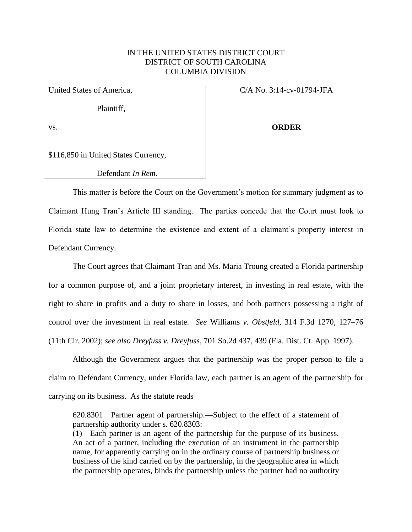## IN THE UNITED STATES DISTRICT COURT DISTRICT OF SOUTH CAROLINA COLUMBIA DIVISION

Plaintiff,

United States of America,  $C/A$  No. 3:14-cv-01794-JFA

vs. **ORDER**

\$116,850 in United States Currency,

Defendant *In Rem*.

This matter is before the Court on the Government's motion for summary judgment as to Claimant Hung Tran's Article III standing. The parties concede that the Court must look to Florida state law to determine the existence and extent of a claimant's property interest in Defendant Currency.

The Court agrees that Claimant Tran and Ms. Maria Troung created a Florida partnership for a common purpose of, and a joint proprietary interest, in investing in real estate, with the right to share in profits and a duty to share in losses, and both partners possessing a right of control over the investment in real estate. *See* Williams *v. Obstfeld,* 314 F.3d 1270, 127–76 (11th Cir. 2002); *see also Dreyfuss v. Dreyfuss*, 701 So.2d 437, 439 (Fla. Dist. Ct. App. 1997).

Although the Government argues that the partnership was the proper person to file a claim to Defendant Currency, under Florida law, each partner is an agent of the partnership for carrying on its business. As the statute reads

620.8301 Partner agent of partnership.—Subject to the effect of a statement of partnership authority under s. [620.8303:](http://www.leg.state.fl.us/statutes/index.cfm?App_mode=Display_Statute&Search_String=&URL=0600-0699/0620/Sections/0620.8303.html)

(1) Each partner is an agent of the partnership for the purpose of its business. An act of a partner, including the execution of an instrument in the partnership name, for apparently carrying on in the ordinary course of partnership business or business of the kind carried on by the partnership, in the geographic area in which the partnership operates, binds the partnership unless the partner had no authority